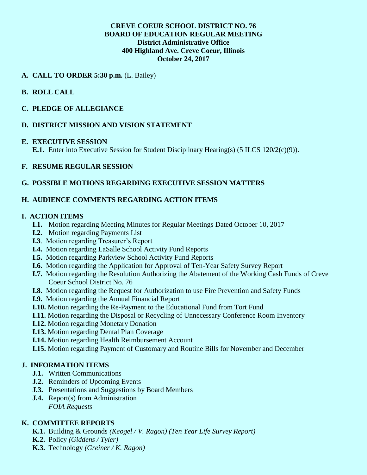### **CREVE COEUR SCHOOL DISTRICT NO. 76 BOARD OF EDUCATION REGULAR MEETING District Administrative Office 400 Highland Ave. Creve Coeur, Illinois October 24, 2017**

## **A. CALL TO ORDER 5:30 p.m.** (L. Bailey)

## **B. ROLL CALL**

## **C. PLEDGE OF ALLEGIANCE**

## **D. DISTRICT MISSION AND VISION STATEMENT**

#### **E. EXECUTIVE SESSION**

**E.1.** Enter into Executive Session for Student Disciplinary Hearing(s) (5 ILCS 120/2(c)(9)).

## **F. RESUME REGULAR SESSION**

## **G. POSSIBLE MOTIONS REGARDING EXECUTIVE SESSION MATTERS**

## **H. AUDIENCE COMMENTS REGARDING ACTION ITEMS**

### **I. ACTION ITEMS**

- **I.1.** Motion regarding Meeting Minutes for Regular Meetings Dated October 10, 2017
- **I.2.** Motion regarding Payments List
- **I.3**. Motion regarding Treasurer's Report
- **I.4.** Motion regarding LaSalle School Activity Fund Reports
- **I.5.** Motion regarding Parkview School Activity Fund Reports
- **I.6.** Motion regarding the Application for Approval of Ten-Year Safety Survey Report
- **I.7.** Motion regarding the Resolution Authorizing the Abatement of the Working Cash Funds of Creve Coeur School District No. 76
- **I.8.** Motion regarding the Request for Authorization to use Fire Prevention and Safety Funds
- **I.9.** Motion regarding the Annual Financial Report
- **I.10.** Motion regarding the Re-Payment to the Educational Fund from Tort Fund
- **I.11.** Motion regarding the Disposal or Recycling of Unnecessary Conference Room Inventory
- **I.12.** Motion regarding Monetary Donation
- **I.13.** Motion regarding Dental Plan Coverage
- **I.14.** Motion regarding Health Reimbursement Account
- **I.15.** Motion regarding Payment of Customary and Routine Bills for November and December

### **J. INFORMATION ITEMS**

- **J.1.** Written Communications
- **J.2.** Reminders of Upcoming Events
- **J.3.** Presentations and Suggestions by Board Members
- **J.4.** Report(s) from Administration *FOIA Requests*

# **K. COMMITTEE REPORTS**

- **K.1.** Building & Grounds *(Keogel / V. Ragon) (Ten Year Life Survey Report)*
- **K.2.** Policy *(Giddens / Tyler)*
- **K.3.** Technology *(Greiner / K. Ragon)*